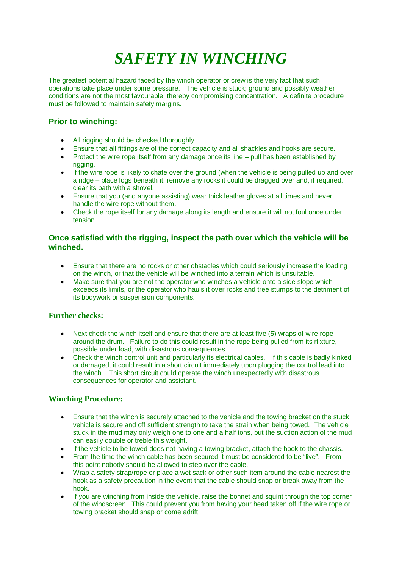# *SAFETY IN WINCHING*

The greatest potential hazard faced by the winch operator or crew is the very fact that such operations take place under some pressure. The vehicle is stuck; ground and possibly weather conditions are not the most favourable, thereby compromising concentration. A definite procedure must be followed to maintain safety margins.

## **Prior to winching:**

- All rigging should be checked thoroughly.
- Ensure that all fittings are of the correct capacity and all shackles and hooks are secure.
- Protect the wire rope itself from any damage once its line pull has been established by rigging.
- $\bullet$  If the wire rope is likely to chafe over the ground (when the vehicle is being pulled up and over a ridge – place logs beneath it, remove any rocks it could be dragged over and, if required, clear its path with a shovel.
- Ensure that you (and anyone assisting) wear thick leather gloves at all times and never handle the wire rope without them.
- Check the rope itself for any damage along its length and ensure it will not foul once under tension.

### **Once satisfied with the rigging, inspect the path over which the vehicle will be winched.**

- Ensure that there are no rocks or other obstacles which could seriously increase the loading on the winch, or that the vehicle will be winched into a terrain which is unsuitable.
- Make sure that you are not the operator who winches a vehicle onto a side slope which exceeds its limits, or the operator who hauls it over rocks and tree stumps to the detriment of its bodywork or suspension components.

### **Further checks:**

- Next check the winch itself and ensure that there are at least five (5) wraps of wire rope around the drum. Failure to do this could result in the rope being pulled from its rfixture, possible under load, with disastrous consequences.
- Check the winch control unit and particularly its electrical cables. If this cable is badly kinked or damaged, it could result in a short circuit immediately upon plugging the control lead into the winch. This short circuit could operate the winch unexpectedly with disastrous consequences for operator and assistant.

### **Winching Procedure:**

- Ensure that the winch is securely attached to the vehicle and the towing bracket on the stuck vehicle is secure and off sufficient strength to take the strain when being towed. The vehicle stuck in the mud may only weigh one to one and a half tons, but the suction action of the mud can easily double or treble this weight.
- If the vehicle to be towed does not having a towing bracket, attach the hook to the chassis.
- From the time the winch cable has been secured it must be considered to be "live". From this point nobody should be allowed to step over the cable.
- Wrap a safety strap/rope or place a wet sack or other such item around the cable nearest the hook as a safety precaution in the event that the cable should snap or break away from the hook.
- If you are winching from inside the vehicle, raise the bonnet and squint through the top corner of the windscreen. This could prevent you from having your head taken off if the wire rope or towing bracket should snap or come adrift.